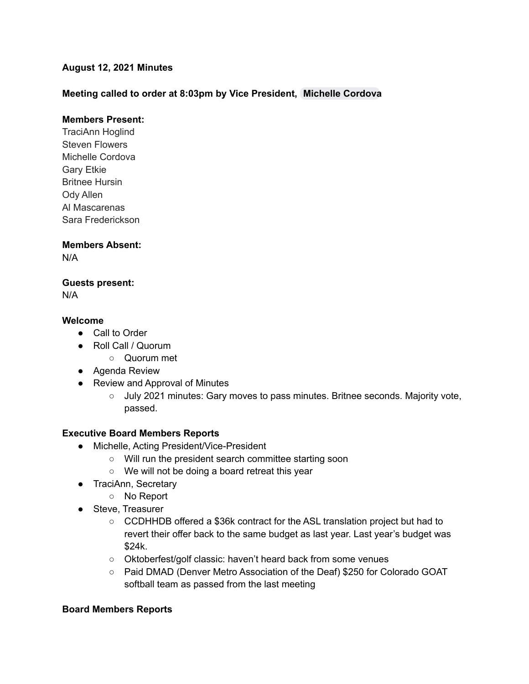# **August 12, 2021 Minutes**

# **Meeting called to order at 8:03pm by Vice President, [Michelle](mailto:mcordova@cadeaf.org) Cordova**

### **Members Present:**

TraciAnn Hoglind Steven Flowers Michelle Cordova Gary Etkie Britnee Hursin Ody Allen Al Mascarenas Sara Frederickson

### **Members Absent:**

N/A

### **Guests present:**

N/A

### **Welcome**

- Call to Order
- Roll Call / Quorum
	- Quorum met
- Agenda Review
- Review and Approval of Minutes
	- July 2021 minutes: Gary moves to pass minutes. Britnee seconds. Majority vote, passed.

### **Executive Board Members Reports**

- Michelle, Acting President/Vice-President
	- Will run the president search committee starting soon
	- We will not be doing a board retreat this year
- TraciAnn, Secretary
	- No Report
- Steve, Treasurer
	- CCDHHDB offered a \$36k contract for the ASL translation project but had to revert their offer back to the same budget as last year. Last year's budget was \$24k.
	- Oktoberfest/golf classic: haven't heard back from some venues
	- Paid DMAD (Denver Metro Association of the Deaf) \$250 for Colorado GOAT softball team as passed from the last meeting

#### **Board Members Reports**